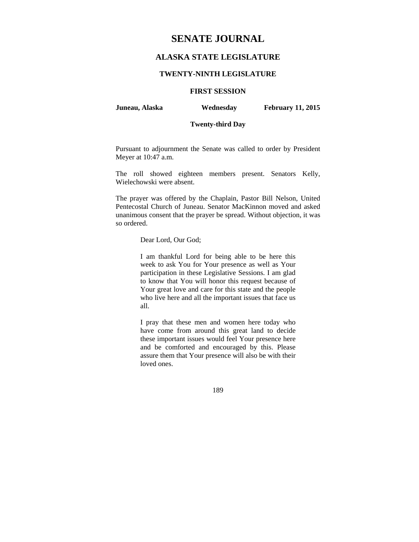# **SENATE JOURNAL**

# **ALASKA STATE LEGISLATURE**

## **TWENTY-NINTH LEGISLATURE**

# **FIRST SESSION**

**Juneau, Alaska Wednesday February 11, 2015** 

# **Twenty-third Day**

Pursuant to adjournment the Senate was called to order by President Meyer at 10:47 a.m.

The roll showed eighteen members present. Senators Kelly, Wielechowski were absent.

The prayer was offered by the Chaplain, Pastor Bill Nelson, United Pentecostal Church of Juneau. Senator MacKinnon moved and asked unanimous consent that the prayer be spread. Without objection, it was so ordered.

### Dear Lord, Our God;

I am thankful Lord for being able to be here this week to ask You for Your presence as well as Your participation in these Legislative Sessions. I am glad to know that You will honor this request because of Your great love and care for this state and the people who live here and all the important issues that face us all.

I pray that these men and women here today who have come from around this great land to decide these important issues would feel Your presence here and be comforted and encouraged by this. Please assure them that Your presence will also be with their loved ones.

189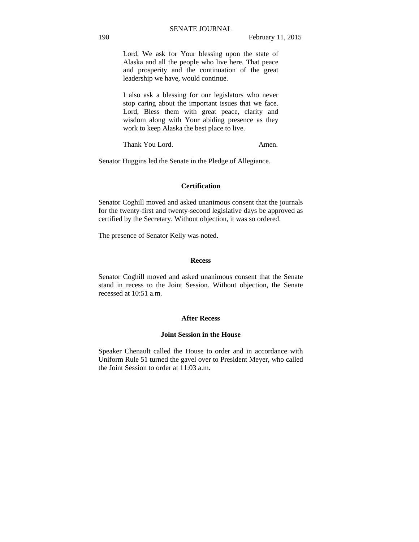Lord, We ask for Your blessing upon the state of Alaska and all the people who live here. That peace and prosperity and the continuation of the great leadership we have, would continue.

I also ask a blessing for our legislators who never stop caring about the important issues that we face. Lord, Bless them with great peace, clarity and wisdom along with Your abiding presence as they work to keep Alaska the best place to live.

Thank You Lord. Amen.

Senator Huggins led the Senate in the Pledge of Allegiance.

## **Certification**

Senator Coghill moved and asked unanimous consent that the journals for the twenty-first and twenty-second legislative days be approved as certified by the Secretary. Without objection, it was so ordered.

The presence of Senator Kelly was noted.

#### **Recess**

Senator Coghill moved and asked unanimous consent that the Senate stand in recess to the Joint Session. Without objection, the Senate recessed at 10:51 a.m.

#### **After Recess**

# **Joint Session in the House**

Speaker Chenault called the House to order and in accordance with Uniform Rule 51 turned the gavel over to President Meyer, who called the Joint Session to order at 11:03 a.m.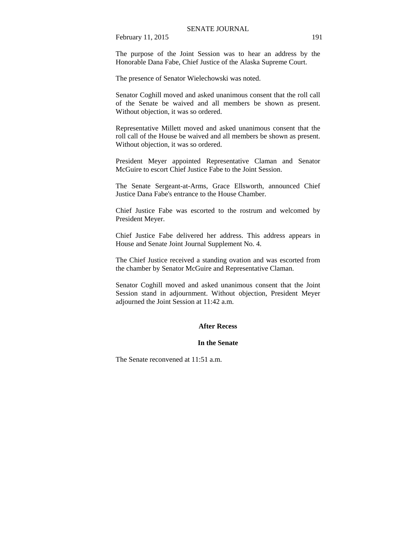The purpose of the Joint Session was to hear an address by the Honorable Dana Fabe, Chief Justice of the Alaska Supreme Court.

The presence of Senator Wielechowski was noted.

Senator Coghill moved and asked unanimous consent that the roll call of the Senate be waived and all members be shown as present. Without objection, it was so ordered.

Representative Millett moved and asked unanimous consent that the roll call of the House be waived and all members be shown as present. Without objection, it was so ordered.

President Meyer appointed Representative Claman and Senator McGuire to escort Chief Justice Fabe to the Joint Session.

The Senate Sergeant-at-Arms, Grace Ellsworth, announced Chief Justice Dana Fabe's entrance to the House Chamber.

Chief Justice Fabe was escorted to the rostrum and welcomed by President Meyer.

Chief Justice Fabe delivered her address. This address appears in House and Senate Joint Journal Supplement No. 4.

The Chief Justice received a standing ovation and was escorted from the chamber by Senator McGuire and Representative Claman.

Senator Coghill moved and asked unanimous consent that the Joint Session stand in adjournment. Without objection, President Meyer adjourned the Joint Session at 11:42 a.m.

# **After Recess**

## **In the Senate**

The Senate reconvened at 11:51 a.m.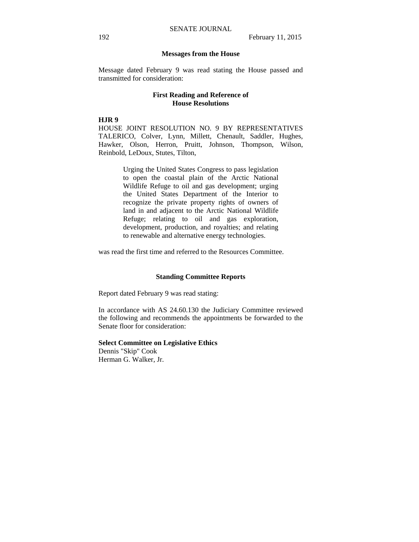### **Messages from the House**

Message dated February 9 was read stating the House passed and transmitted for consideration:

# **First Reading and Reference of House Resolutions**

### **HJR 9**

HOUSE JOINT RESOLUTION NO. 9 BY REPRESENTATIVES TALERICO, Colver, Lynn, Millett, Chenault, Saddler, Hughes, Hawker, Olson, Herron, Pruitt, Johnson, Thompson, Wilson, Reinbold, LeDoux, Stutes, Tilton,

> Urging the United States Congress to pass legislation to open the coastal plain of the Arctic National Wildlife Refuge to oil and gas development; urging the United States Department of the Interior to recognize the private property rights of owners of land in and adjacent to the Arctic National Wildlife Refuge; relating to oil and gas exploration, development, production, and royalties; and relating to renewable and alternative energy technologies.

was read the first time and referred to the Resources Committee.

## **Standing Committee Reports**

Report dated February 9 was read stating:

In accordance with AS 24.60.130 the Judiciary Committee reviewed the following and recommends the appointments be forwarded to the Senate floor for consideration:

# **Select Committee on Legislative Ethics**

Dennis "Skip" Cook Herman G. Walker, Jr.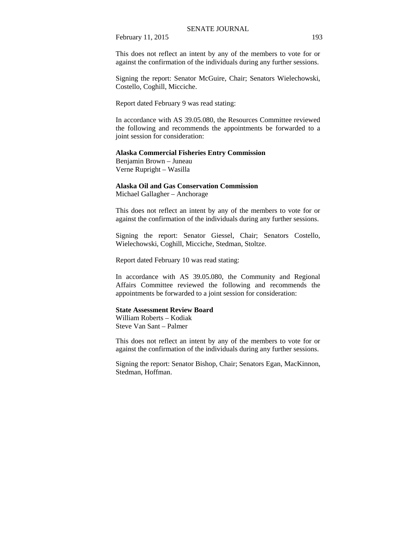This does not reflect an intent by any of the members to vote for or against the confirmation of the individuals during any further sessions.

Signing the report: Senator McGuire, Chair; Senators Wielechowski, Costello, Coghill, Micciche.

Report dated February 9 was read stating:

In accordance with AS 39.05.080, the Resources Committee reviewed the following and recommends the appointments be forwarded to a joint session for consideration:

## **Alaska Commercial Fisheries Entry Commission**

Benjamin Brown – Juneau Verne Rupright – Wasilla

# **Alaska Oil and Gas Conservation Commission**

Michael Gallagher – Anchorage

This does not reflect an intent by any of the members to vote for or against the confirmation of the individuals during any further sessions.

Signing the report: Senator Giessel, Chair; Senators Costello, Wielechowski, Coghill, Micciche, Stedman, Stoltze.

Report dated February 10 was read stating:

In accordance with AS 39.05.080, the Community and Regional Affairs Committee reviewed the following and recommends the appointments be forwarded to a joint session for consideration:

# **State Assessment Review Board**

William Roberts – Kodiak Steve Van Sant – Palmer

This does not reflect an intent by any of the members to vote for or against the confirmation of the individuals during any further sessions.

Signing the report: Senator Bishop, Chair; Senators Egan, MacKinnon, Stedman, Hoffman.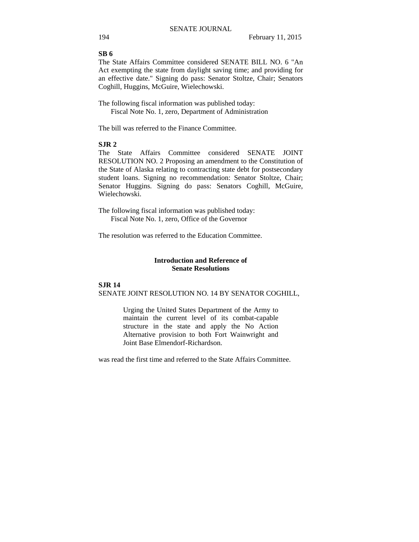# **SB 6**

The State Affairs Committee considered SENATE BILL NO. 6 "An Act exempting the state from daylight saving time; and providing for an effective date." Signing do pass: Senator Stoltze, Chair; Senators Coghill, Huggins, McGuire, Wielechowski.

The following fiscal information was published today: Fiscal Note No. 1, zero, Department of Administration

The bill was referred to the Finance Committee.

# **SJR 2**

The State Affairs Committee considered SENATE JOINT RESOLUTION NO. 2 Proposing an amendment to the Constitution of the State of Alaska relating to contracting state debt for postsecondary student loans. Signing no recommendation: Senator Stoltze, Chair; Senator Huggins. Signing do pass: Senators Coghill, McGuire, Wielechowski.

The following fiscal information was published today: Fiscal Note No. 1, zero, Office of the Governor

The resolution was referred to the Education Committee.

# **Introduction and Reference of Senate Resolutions**

## **SJR 14** SENATE JOINT RESOLUTION NO. 14 BY SENATOR COGHILL,

Urging the United States Department of the Army to maintain the current level of its combat-capable structure in the state and apply the No Action Alternative provision to both Fort Wainwright and Joint Base Elmendorf-Richardson.

was read the first time and referred to the State Affairs Committee.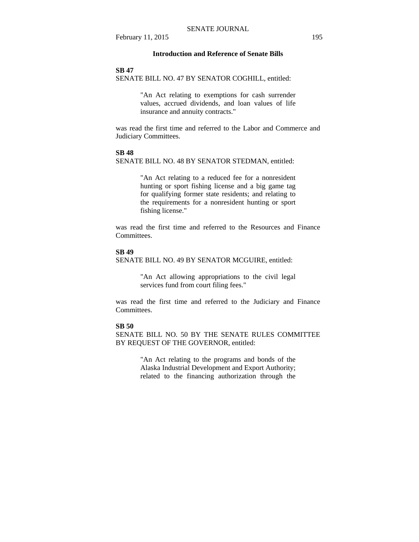## **Introduction and Reference of Senate Bills**

#### **SB 47**

SENATE BILL NO. 47 BY SENATOR COGHILL, entitled:

"An Act relating to exemptions for cash surrender values, accrued dividends, and loan values of life insurance and annuity contracts."

was read the first time and referred to the Labor and Commerce and Judiciary Committees.

# **SB 48**

SENATE BILL NO. 48 BY SENATOR STEDMAN, entitled:

"An Act relating to a reduced fee for a nonresident hunting or sport fishing license and a big game tag for qualifying former state residents; and relating to the requirements for a nonresident hunting or sport fishing license."

was read the first time and referred to the Resources and Finance **Committees** 

# **SB 49**

SENATE BILL NO. 49 BY SENATOR MCGUIRE, entitled:

"An Act allowing appropriations to the civil legal services fund from court filing fees."

was read the first time and referred to the Judiciary and Finance Committees.

#### **SB 50**

SENATE BILL NO. 50 BY THE SENATE RULES COMMITTEE BY REQUEST OF THE GOVERNOR, entitled:

> "An Act relating to the programs and bonds of the Alaska Industrial Development and Export Authority; related to the financing authorization through the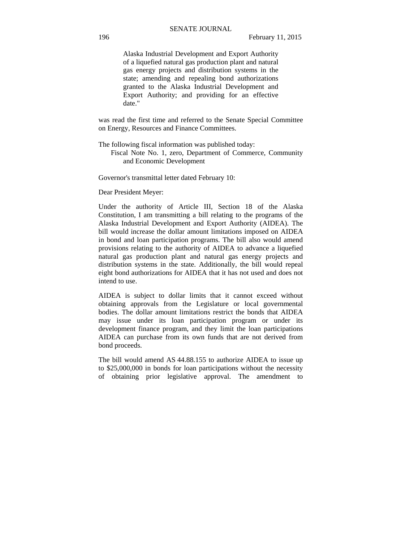Alaska Industrial Development and Export Authority of a liquefied natural gas production plant and natural gas energy projects and distribution systems in the state; amending and repealing bond authorizations granted to the Alaska Industrial Development and Export Authority; and providing for an effective date."

was read the first time and referred to the Senate Special Committee on Energy, Resources and Finance Committees.

The following fiscal information was published today:

 Fiscal Note No. 1, zero, Department of Commerce, Community and Economic Development

Governor's transmittal letter dated February 10:

Dear President Meyer:

Under the authority of Article III, Section 18 of the Alaska Constitution, I am transmitting a bill relating to the programs of the Alaska Industrial Development and Export Authority (AIDEA). The bill would increase the dollar amount limitations imposed on AIDEA in bond and loan participation programs. The bill also would amend provisions relating to the authority of AIDEA to advance a liquefied natural gas production plant and natural gas energy projects and distribution systems in the state. Additionally, the bill would repeal eight bond authorizations for AIDEA that it has not used and does not intend to use.

AIDEA is subject to dollar limits that it cannot exceed without obtaining approvals from the Legislature or local governmental bodies. The dollar amount limitations restrict the bonds that AIDEA may issue under its loan participation program or under its development finance program, and they limit the loan participations AIDEA can purchase from its own funds that are not derived from bond proceeds.

The bill would amend AS 44.88.155 to authorize AIDEA to issue up to \$25,000,000 in bonds for loan participations without the necessity of obtaining prior legislative approval. The amendment to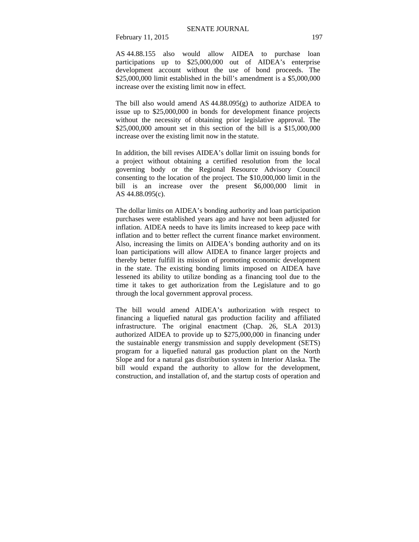AS 44.88.155 also would allow AIDEA to purchase loan participations up to \$25,000,000 out of AIDEA's enterprise development account without the use of bond proceeds. The \$25,000,000 limit established in the bill's amendment is a \$5,000,000 increase over the existing limit now in effect.

The bill also would amend AS 44.88.095(g) to authorize AIDEA to issue up to \$25,000,000 in bonds for development finance projects without the necessity of obtaining prior legislative approval. The \$25,000,000 amount set in this section of the bill is a \$15,000,000 increase over the existing limit now in the statute.

In addition, the bill revises AIDEA's dollar limit on issuing bonds for a project without obtaining a certified resolution from the local governing body or the Regional Resource Advisory Council consenting to the location of the project. The \$10,000,000 limit in the bill is an increase over the present \$6,000,000 limit in AS 44.88.095(c).

The dollar limits on AIDEA's bonding authority and loan participation purchases were established years ago and have not been adjusted for inflation. AIDEA needs to have its limits increased to keep pace with inflation and to better reflect the current finance market environment. Also, increasing the limits on AIDEA's bonding authority and on its loan participations will allow AIDEA to finance larger projects and thereby better fulfill its mission of promoting economic development in the state. The existing bonding limits imposed on AIDEA have lessened its ability to utilize bonding as a financing tool due to the time it takes to get authorization from the Legislature and to go through the local government approval process.

The bill would amend AIDEA's authorization with respect to financing a liquefied natural gas production facility and affiliated infrastructure. The original enactment (Chap. 26, SLA 2013) authorized AIDEA to provide up to \$275,000,000 in financing under the sustainable energy transmission and supply development (SETS) program for a liquefied natural gas production plant on the North Slope and for a natural gas distribution system in Interior Alaska. The bill would expand the authority to allow for the development, construction, and installation of, and the startup costs of operation and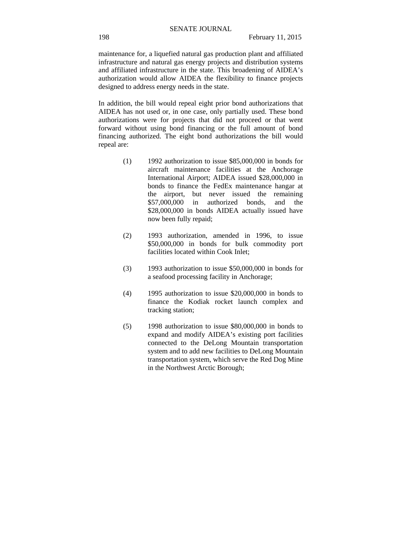maintenance for, a liquefied natural gas production plant and affiliated infrastructure and natural gas energy projects and distribution systems and affiliated infrastructure in the state. This broadening of AIDEA's authorization would allow AIDEA the flexibility to finance projects designed to address energy needs in the state.

In addition, the bill would repeal eight prior bond authorizations that AIDEA has not used or, in one case, only partially used. These bond authorizations were for projects that did not proceed or that went forward without using bond financing or the full amount of bond financing authorized. The eight bond authorizations the bill would repeal are:

- (1) 1992 authorization to issue \$85,000,000 in bonds for aircraft maintenance facilities at the Anchorage International Airport; AIDEA issued \$28,000,000 in bonds to finance the FedEx maintenance hangar at the airport, but never issued the remaining \$57,000,000 in authorized bonds, and the \$28,000,000 in bonds AIDEA actually issued have now been fully repaid;
- (2) 1993 authorization, amended in 1996, to issue \$50,000,000 in bonds for bulk commodity port facilities located within Cook Inlet;
- (3) 1993 authorization to issue \$50,000,000 in bonds for a seafood processing facility in Anchorage;
- (4) 1995 authorization to issue \$20,000,000 in bonds to finance the Kodiak rocket launch complex and tracking station;
- (5) 1998 authorization to issue \$80,000,000 in bonds to expand and modify AIDEA's existing port facilities connected to the DeLong Mountain transportation system and to add new facilities to DeLong Mountain transportation system, which serve the Red Dog Mine in the Northwest Arctic Borough;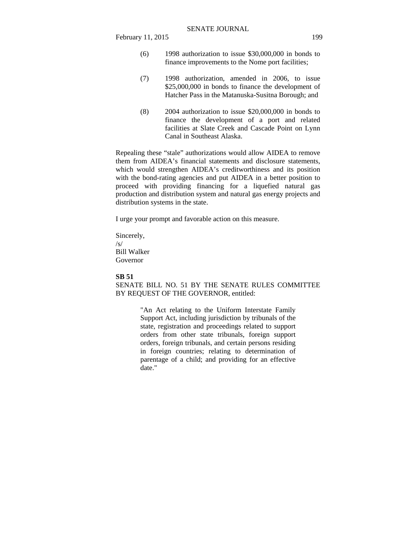- (6) 1998 authorization to issue \$30,000,000 in bonds to finance improvements to the Nome port facilities;
- (7) 1998 authorization, amended in 2006, to issue \$25,000,000 in bonds to finance the development of Hatcher Pass in the Matanuska-Susitna Borough; and
- (8) 2004 authorization to issue \$20,000,000 in bonds to finance the development of a port and related facilities at Slate Creek and Cascade Point on Lynn Canal in Southeast Alaska.

Repealing these "stale" authorizations would allow AIDEA to remove them from AIDEA's financial statements and disclosure statements, which would strengthen AIDEA's creditworthiness and its position with the bond-rating agencies and put AIDEA in a better position to proceed with providing financing for a liquefied natural gas production and distribution system and natural gas energy projects and distribution systems in the state.

I urge your prompt and favorable action on this measure.

Sincerely, /s/ Bill Walker Governor

### **SB 51**

SENATE BILL NO. 51 BY THE SENATE RULES COMMITTEE BY REQUEST OF THE GOVERNOR, entitled:

> "An Act relating to the Uniform Interstate Family Support Act, including jurisdiction by tribunals of the state, registration and proceedings related to support orders from other state tribunals, foreign support orders, foreign tribunals, and certain persons residing in foreign countries; relating to determination of parentage of a child; and providing for an effective date."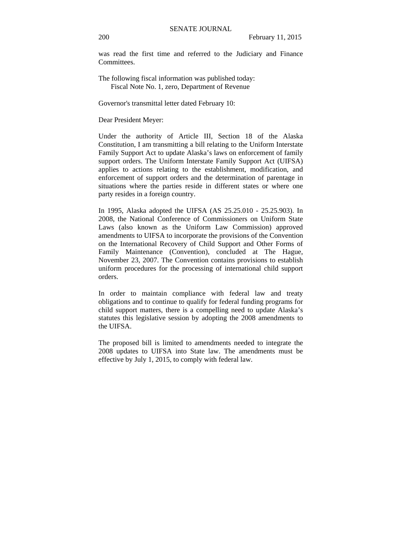was read the first time and referred to the Judiciary and Finance **Committees** 

The following fiscal information was published today: Fiscal Note No. 1, zero, Department of Revenue

Governor's transmittal letter dated February 10:

Dear President Meyer:

Under the authority of Article III, Section 18 of the Alaska Constitution, I am transmitting a bill relating to the Uniform Interstate Family Support Act to update Alaska's laws on enforcement of family support orders. The Uniform Interstate Family Support Act (UIFSA) applies to actions relating to the establishment, modification, and enforcement of support orders and the determination of parentage in situations where the parties reside in different states or where one party resides in a foreign country.

In 1995, Alaska adopted the UIFSA (AS 25.25.010 - 25.25.903). In 2008, the National Conference of Commissioners on Uniform State Laws (also known as the Uniform Law Commission) approved amendments to UIFSA to incorporate the provisions of the Convention on the International Recovery of Child Support and Other Forms of Family Maintenance (Convention), concluded at The Hague, November 23, 2007. The Convention contains provisions to establish uniform procedures for the processing of international child support orders.

In order to maintain compliance with federal law and treaty obligations and to continue to qualify for federal funding programs for child support matters, there is a compelling need to update Alaska's statutes this legislative session by adopting the 2008 amendments to the UIFSA.

The proposed bill is limited to amendments needed to integrate the 2008 updates to UIFSA into State law. The amendments must be effective by July 1, 2015, to comply with federal law.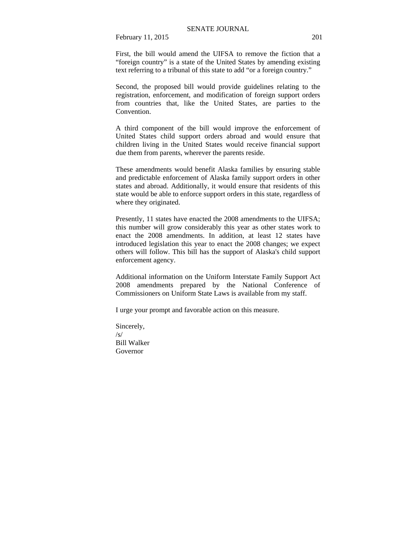First, the bill would amend the UIFSA to remove the fiction that a "foreign country" is a state of the United States by amending existing text referring to a tribunal of this state to add "or a foreign country."

Second, the proposed bill would provide guidelines relating to the registration, enforcement, and modification of foreign support orders from countries that, like the United States, are parties to the Convention.

A third component of the bill would improve the enforcement of United States child support orders abroad and would ensure that children living in the United States would receive financial support due them from parents, wherever the parents reside.

These amendments would benefit Alaska families by ensuring stable and predictable enforcement of Alaska family support orders in other states and abroad. Additionally, it would ensure that residents of this state would be able to enforce support orders in this state, regardless of where they originated.

Presently, 11 states have enacted the 2008 amendments to the UIFSA; this number will grow considerably this year as other states work to enact the 2008 amendments. In addition, at least 12 states have introduced legislation this year to enact the 2008 changes; we expect others will follow. This bill has the support of Alaska's child support enforcement agency.

Additional information on the Uniform Interstate Family Support Act 2008 amendments prepared by the National Conference of Commissioners on Uniform State Laws is available from my staff.

I urge your prompt and favorable action on this measure.

Sincerely, /s/ Bill Walker Governor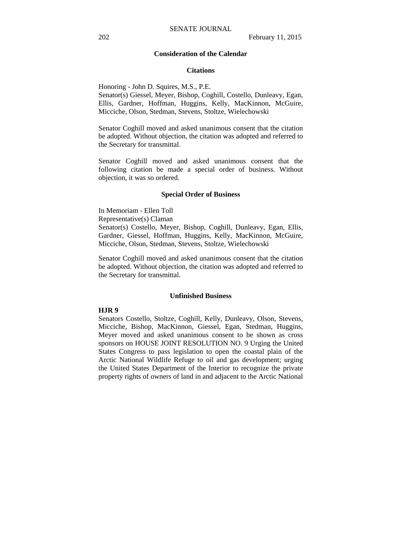## **Consideration of the Calendar**

#### **Citations**

Honoring - John D. Squires, M.S., P.E.

Senator(s) Giessel, Meyer, Bishop, Coghill, Costello, Dunleavy, Egan, Ellis, Gardner, Hoffman, Huggins, Kelly, MacKinnon, McGuire, Micciche, Olson, Stedman, Stevens, Stoltze, Wielechowski

Senator Coghill moved and asked unanimous consent that the citation be adopted. Without objection, the citation was adopted and referred to the Secretary for transmittal.

Senator Coghill moved and asked unanimous consent that the following citation be made a special order of business. Without objection, it was so ordered.

#### **Special Order of Business**

In Memoriam - Ellen Toll Representative(s) Claman Senator(s) Costello, Meyer, Bishop, Coghill, Dunleavy, Egan, Ellis, Gardner, Giessel, Hoffman, Huggins, Kelly, MacKinnon, McGuire, Micciche, Olson, Stedman, Stevens, Stoltze, Wielechowski

Senator Coghill moved and asked unanimous consent that the citation be adopted. Without objection, the citation was adopted and referred to the Secretary for transmittal.

#### **Unfinished Business**

# **HJR 9**

Senators Costello, Stoltze, Coghill, Kelly, Dunleavy, Olson, Stevens, Micciche, Bishop, MacKinnon, Giessel, Egan, Stedman, Huggins, Meyer moved and asked unanimous consent to be shown as cross sponsors on HOUSE JOINT RESOLUTION NO. 9 Urging the United States Congress to pass legislation to open the coastal plain of the Arctic National Wildlife Refuge to oil and gas development; urging the United States Department of the Interior to recognize the private property rights of owners of land in and adjacent to the Arctic National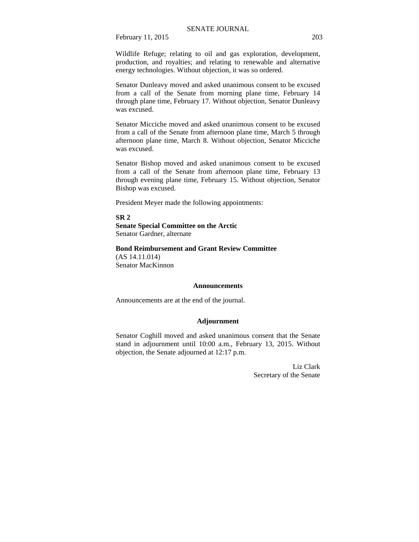Wildlife Refuge; relating to oil and gas exploration, development, production, and royalties; and relating to renewable and alternative energy technologies. Without objection, it was so ordered.

Senator Dunleavy moved and asked unanimous consent to be excused from a call of the Senate from morning plane time, February 14 through plane time, February 17. Without objection, Senator Dunleavy was excused.

Senator Micciche moved and asked unanimous consent to be excused from a call of the Senate from afternoon plane time, March 5 through afternoon plane time, March 8. Without objection, Senator Micciche was excused.

Senator Bishop moved and asked unanimous consent to be excused from a call of the Senate from afternoon plane time, February 13 through evening plane time, February 15. Without objection, Senator Bishop was excused.

President Meyer made the following appointments:

**SR 2** 

**Senate Special Committee on the Arctic**  Senator Gardner, alternate

# **Bond Reimbursement and Grant Review Committee**

(AS 14.11.014) Senator MacKinnon

## **Announcements**

Announcements are at the end of the journal.

## **Adjournment**

Senator Coghill moved and asked unanimous consent that the Senate stand in adjournment until 10:00 a.m., February 13, 2015. Without objection, the Senate adjourned at 12:17 p.m.

> Liz Clark Secretary of the Senate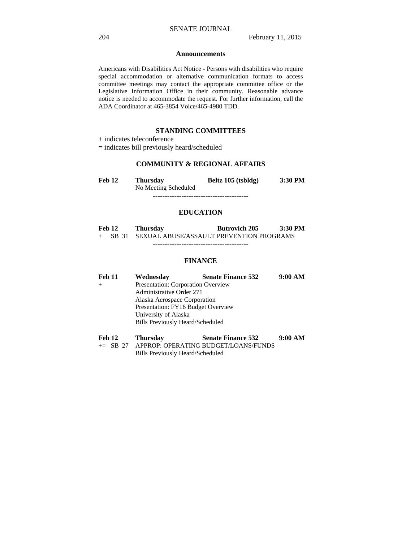#### **Announcements**

Americans with Disabilities Act Notice - Persons with disabilities who require special accommodation or alternative communication formats to access committee meetings may contact the appropriate committee office or the Legislative Information Office in their community. Reasonable advance notice is needed to accommodate the request. For further information, call the ADA Coordinator at 465-3854 Voice/465-4980 TDD.

# **STANDING COMMITTEES**

+ indicates teleconference

= indicates bill previously heard/scheduled

# **COMMUNITY & REGIONAL AFFAIRS**

**Feb 12 Thursday Beltz 105 (tsbldg) 3:30 PM**  No Meeting Scheduled ----------------------------------------

## **EDUCATION**

| Feb 12 | <b>Thursday</b>                                  | <b>Butrovich 205</b> | $3:30$ PM |
|--------|--------------------------------------------------|----------------------|-----------|
|        | + SB 31 SEXUAL ABUSE/ASSAULT PREVENTION PROGRAMS |                      |           |

----------------------------------------

# **FINANCE**

| <b>Feb 11</b> | Wednesday                          | <b>Senate Finance 532</b> | 9:00 AM |
|---------------|------------------------------------|---------------------------|---------|
|               | Presentation: Corporation Overview |                           |         |
|               | Administrative Order 271           |                           |         |
|               | Alaska Aerospace Corporation       |                           |         |
|               | Presentation: FY16 Budget Overview |                           |         |
|               | University of Alaska               |                           |         |
|               | Bills Previously Heard/Scheduled   |                           |         |
|               |                                    |                           |         |

| Feb 12 |                | Thursday | <b>Senate Finance 532</b>                        | 9:00 AM |
|--------|----------------|----------|--------------------------------------------------|---------|
|        | $\sim$ CD $27$ |          | A DDDOD, ODED A TINIC DI IDCET II O ANIS EI INDS |         |

+= SB 27 APPROP: OPERATING BUDGET/LOANS/FUNDS Bills Previously Heard/Scheduled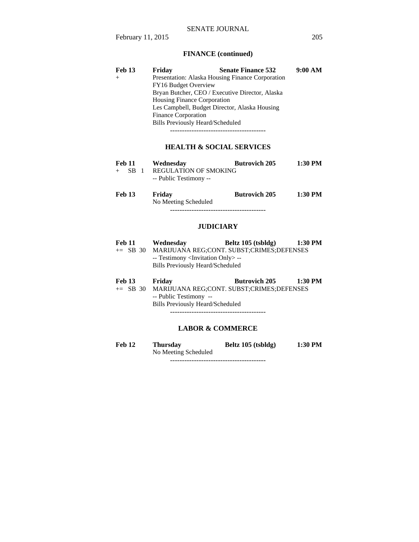# **FINANCE (continued)**

| Feb 13 | Friday                                        | <b>Senate Finance 532</b>                        | 9:00 AM |
|--------|-----------------------------------------------|--------------------------------------------------|---------|
| $+$    |                                               | Presentation: Alaska Housing Finance Corporation |         |
|        | FY16 Budget Overview                          |                                                  |         |
|        |                                               | Bryan Butcher, CEO / Executive Director, Alaska  |         |
|        | <b>Housing Finance Corporation</b>            |                                                  |         |
|        | Les Campbell, Budget Director, Alaska Housing |                                                  |         |
|        | <b>Finance Corporation</b>                    |                                                  |         |
|        | <b>Bills Previously Heard/Scheduled</b>       |                                                  |         |
|        |                                               |                                                  |         |

## **HEALTH & SOCIAL SERVICES**

| <b>Feb 11</b> | Wednesday              | <b>Butrovich 205</b> | 1:30 PM |
|---------------|------------------------|----------------------|---------|
| $+$ SR 1      | REGULATION OF SMOKING  |                      |         |
|               | -- Public Testimony -- |                      |         |

| <b>Feb 13</b> | Friday               | <b>Butrovich 205</b> | $1:30$ PM |
|---------------|----------------------|----------------------|-----------|
|               | No Meeting Scheduled |                      |           |
|               |                      |                      |           |

## **JUDICIARY**

| <b>Feb 11</b> | Wednesday                                                                              | Beltz 105 (tsbldg)                        | 1:30 PM |
|---------------|----------------------------------------------------------------------------------------|-------------------------------------------|---------|
| $\pm$ SB 30   |                                                                                        | MARIJUANA REG;CONT. SUBST;CRIMES;DEFENSES |         |
|               | -- Testimony <invitation only=""> --<br/>Bills Previously Heard/Scheduled</invitation> |                                           |         |
|               |                                                                                        |                                           |         |

| <b>Feb 13</b> | Friday                                             | <b>Butrovich 205</b> | $1:30$ PM |
|---------------|----------------------------------------------------|----------------------|-----------|
|               | += SB 30 MARIJUANA REG;CONT. SUBST;CRIMES;DEFENSES |                      |           |
|               | -- Public Testimony --                             |                      |           |
|               | Bills Previously Heard/Scheduled                   |                      |           |

----------------------------------------

# **LABOR & COMMERCE**

**Feb 12 Thursday Beltz 105 (tsbldg) 1:30 PM**  No Meeting Scheduled

----------------------------------------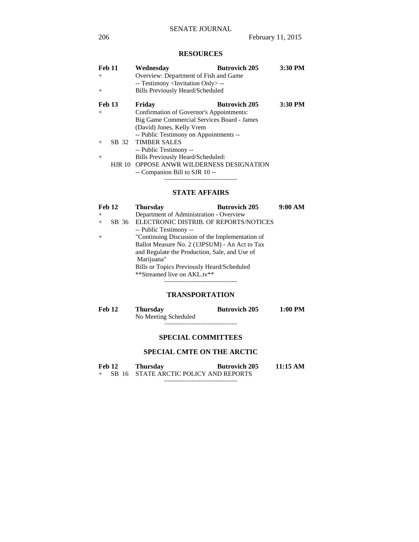# **RESOURCES**

| Feb 11        |               | Wednesdav                                         | <b>Butrovich 205</b> | 3:30 PM |
|---------------|---------------|---------------------------------------------------|----------------------|---------|
| $+$           |               | Overview: Department of Fish and Game             |                      |         |
|               |               | -- Testimony <invitation only=""> --</invitation> |                      |         |
| $+$           |               | <b>Bills Previously Heard/Scheduled</b>           |                      |         |
| <b>Feb 13</b> |               | Friday                                            | <b>Butrovich 205</b> | 3:30 PM |
| $+$           |               | Confirmation of Governor's Appointments:          |                      |         |
|               |               | Big Game Commercial Services Board - James        |                      |         |
|               |               | (David) Jones, Kelly Vrem                         |                      |         |
|               |               | -- Public Testimony on Appointments --            |                      |         |
| $^{+}$        |               | SB 32 TIMBER SALES                                |                      |         |
|               |               | -- Public Testimony --                            |                      |         |
| $^{+}$        |               | Bills Previously Heard/Scheduled:                 |                      |         |
|               | <b>HJR 10</b> | <b>OPPOSE ANWR WILDERNESS DESIGNATION</b>         |                      |         |
|               |               | -- Companion Bill to SJR 10 --                    |                      |         |
|               |               |                                                   |                      |         |

# **STATE AFFAIRS**

| Feb 12 |  | <b>Thursday</b>                                 | <b>Butrovich 205</b> | 9:00 AM |
|--------|--|-------------------------------------------------|----------------------|---------|
| $+$    |  | Department of Administration - Overview         |                      |         |
| $+$    |  | SB 36 ELECTRONIC DISTRIB. OF REPORTS/NOTICES    |                      |         |
|        |  | -- Public Testimony --                          |                      |         |
| $+$    |  | "Continuing Discussion of the Implementation of |                      |         |
|        |  | Ballot Measure No. 2 (13PSUM) - An Act to Tax   |                      |         |
|        |  | and Regulate the Production, Sale, and Use of   |                      |         |
|        |  | Marijuana"                                      |                      |         |
|        |  | Bills or Topics Previously Heard/Scheduled      |                      |         |
|        |  | **Streamed live on AKL.tv**                     |                      |         |
|        |  |                                                 |                      |         |

# **TRANSPORTATION**

| Feb 12 | Thursdav             | <b>Butrovich 205</b> | $1:00$ PM |
|--------|----------------------|----------------------|-----------|
|        | No Meeting Scheduled |                      |           |
|        |                      |                      |           |

# **SPECIAL COMMITTEES**

# **SPECIAL CMTE ON THE ARCTIC**

| Feb 12 |  | <b>Thursday</b>                       | <b>Butrovich 205</b> | 11:15 AM |
|--------|--|---------------------------------------|----------------------|----------|
|        |  | SB 16 STATE ARCTIC POLICY AND REPORTS |                      |          |

----------------------------------------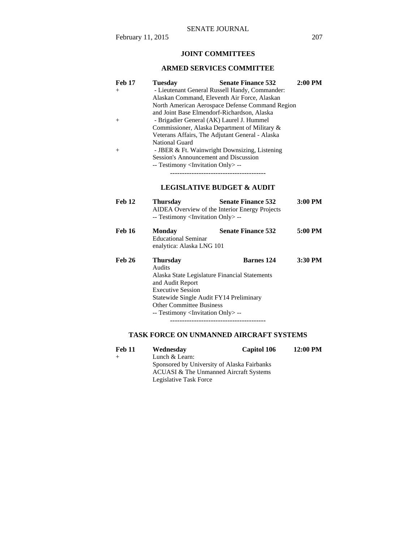# **JOINT COMMITTEES**

# **ARMED SERVICES COMMITTEE**

| <b>Feb 17</b> | <b>Tuesday</b>                                    | <b>Senate Finance 532</b>             | $2:00$ PM |  |  |
|---------------|---------------------------------------------------|---------------------------------------|-----------|--|--|
| $^{+}$        | - Lieutenant General Russell Handy, Commander:    |                                       |           |  |  |
|               | Alaskan Command, Eleventh Air Force, Alaskan      |                                       |           |  |  |
|               | North American Aerospace Defense Command Region   |                                       |           |  |  |
|               | and Joint Base Elmendorf-Richardson, Alaska       |                                       |           |  |  |
| $^{+}$        | - Brigadier General (AK) Laurel J. Hummel         |                                       |           |  |  |
|               | Commissioner, Alaska Department of Military &     |                                       |           |  |  |
|               | Veterans Affairs, The Adjutant General - Alaska   |                                       |           |  |  |
|               | <b>National Guard</b>                             |                                       |           |  |  |
| $^{+}$        | - JBER & Ft. Wainwright Downsizing, Listening     |                                       |           |  |  |
|               | Session's Announcement and Discussion             |                                       |           |  |  |
|               |                                                   |                                       |           |  |  |
|               | -- Testimony <invitation only=""> --</invitation> |                                       |           |  |  |
|               |                                                   |                                       |           |  |  |
|               |                                                   | <b>LEGISLATIVE BUDGET &amp; AUDIT</b> |           |  |  |
|               |                                                   |                                       |           |  |  |
| <b>Feb 12</b> | <b>Thursday</b>                                   | <b>Senate Finance 532</b>             | 3:00 PM   |  |  |
|               | AIDEA Overview of the Interior Energy Projects    |                                       |           |  |  |
|               | -- Testimony <invitation only=""> --</invitation> |                                       |           |  |  |
|               |                                                   |                                       |           |  |  |
| <b>Feb 16</b> | <b>Monday</b>                                     | <b>Senate Finance 532</b>             | 5:00 PM   |  |  |
|               | <b>Educational Seminar</b>                        |                                       |           |  |  |
|               | enalytica: Alaska LNG 101                         |                                       |           |  |  |
|               |                                                   |                                       |           |  |  |
| <b>Feb 26</b> | Thursday                                          | Barnes 124                            | 3:30 PM   |  |  |
|               | Audits                                            |                                       |           |  |  |
|               | Alaska State Legislature Financial Statements     |                                       |           |  |  |
|               | and Audit Report                                  |                                       |           |  |  |
|               | <b>Executive Session</b>                          |                                       |           |  |  |
|               | Statewide Single Audit FY14 Preliminary           |                                       |           |  |  |
|               | <b>Other Committee Business</b>                   |                                       |           |  |  |
|               | -- Testimony <invitation only=""> --</invitation> |                                       |           |  |  |
|               |                                                   |                                       |           |  |  |
|               |                                                   |                                       |           |  |  |

# **TASK FORCE ON UNMANNED AIRCRAFT SYSTEMS**

| <b>Feb 11</b> | Wednesday                                   | Capitol 106                            | 12:00 PM |  |
|---------------|---------------------------------------------|----------------------------------------|----------|--|
|               | Lunch & Learn:                              |                                        |          |  |
|               | Sponsored by University of Alaska Fairbanks |                                        |          |  |
|               |                                             | ACUASI & The Unmanned Aircraft Systems |          |  |
|               | Legislative Task Force                      |                                        |          |  |